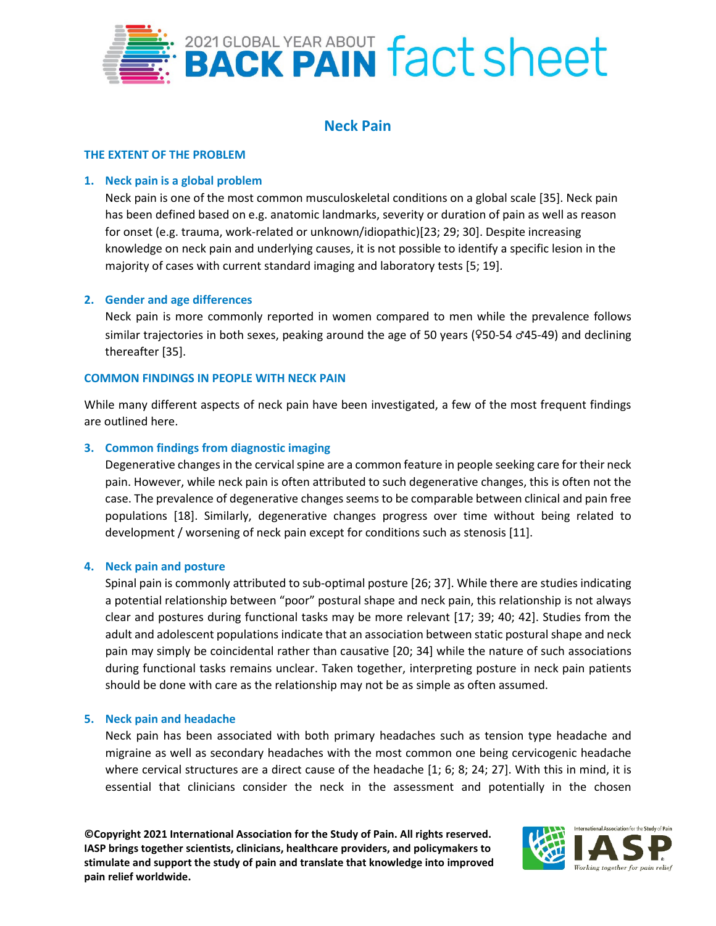

# **Neck Pain**

### **THE EXTENT OF THE PROBLEM**

### **1. Neck pain is a global problem**

Neck pain is one of the most common musculoskeletal conditions on a global scale [35]. Neck pain has been defined based on e.g. anatomic landmarks, severity or duration of pain as well as reason for onset (e.g. trauma, work-related or unknown/idiopathic)[23; 29; 30]. Despite increasing knowledge on neck pain and underlying causes, it is not possible to identify a specific lesion in the majority of cases with current standard imaging and laboratory tests [5; 19].

### **2. Gender and age differences**

Neck pain is more commonly reported in women compared to men while the prevalence follows similar trajectories in both sexes, peaking around the age of 50 years ( $950-54$   $\sigma$ 45-49) and declining thereafter [35].

#### **COMMON FINDINGS IN PEOPLE WITH NECK PAIN**

While many different aspects of neck pain have been investigated, a few of the most frequent findings are outlined here.

### **3. Common findings from diagnostic imaging**

Degenerative changes in the cervical spine are a common feature in people seeking care for their neck pain. However, while neck pain is often attributed to such degenerative changes, this is often not the case. The prevalence of degenerative changes seems to be comparable between clinical and pain free populations [18]. Similarly, degenerative changes progress over time without being related to development / worsening of neck pain except for conditions such as stenosis [11].

#### **4. Neck pain and posture**

Spinal pain is commonly attributed to sub-optimal posture [26; 37]. While there are studies indicating a potential relationship between "poor" postural shape and neck pain, this relationship is not always clear and postures during functional tasks may be more relevant [17; 39; 40; 42]. Studies from the adult and adolescent populations indicate that an association between static postural shape and neck pain may simply be coincidental rather than causative [20; 34] while the nature of such associations during functional tasks remains unclear. Taken together, interpreting posture in neck pain patients should be done with care as the relationship may not be as simple as often assumed.

#### **5. Neck pain and headache**

Neck pain has been associated with both primary headaches such as tension type headache and migraine as well as secondary headaches with the most common one being cervicogenic headache where cervical structures are a direct cause of the headache [1; 6; 8; 24; 27]. With this in mind, it is essential that clinicians consider the neck in the assessment and potentially in the chosen

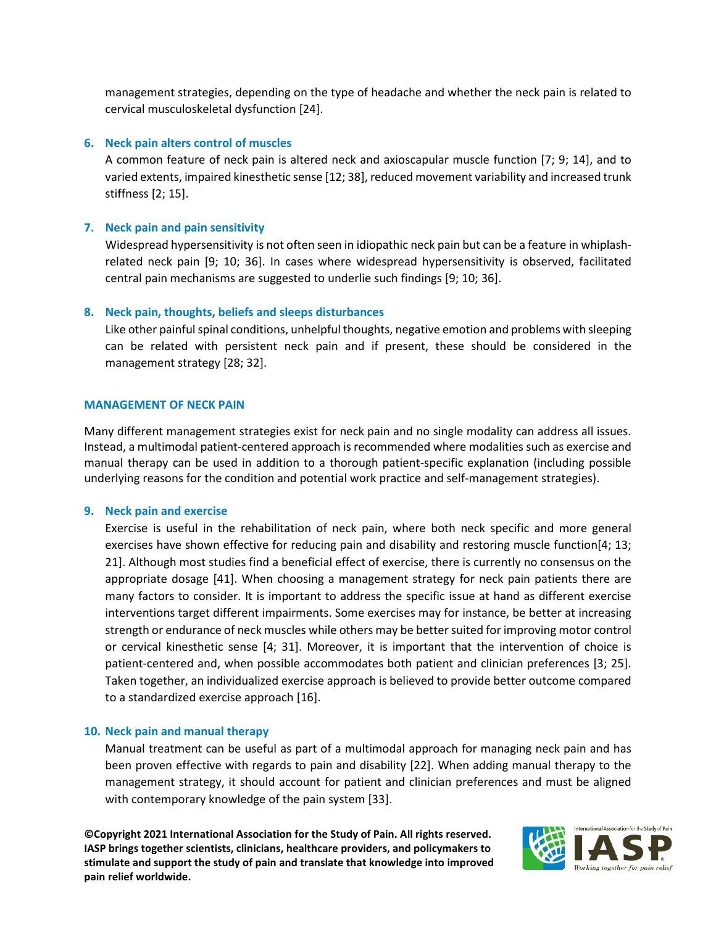management strategies, depending on the type of headache and whether the neck pain is related to cervical musculoskeletal dysfunction [24].

## **6. Neck pain alters control of muscles**

A common feature of neck pain is altered neck and axioscapular muscle function [7; 9; 14], and to varied extents, impaired kinesthetic sense [12; 38], reduced movement variability and increased trunk stiffness [2; 15].

# **7. Neck pain and pain sensitivity**

Widespread hypersensitivity is not often seen in idiopathic neck pain but can be a feature in whiplashrelated neck pain [9; 10; 36]. In cases where widespread hypersensitivity is observed, facilitated central pain mechanisms are suggested to underlie such findings [9; 10; 36].

# **8. Neck pain, thoughts, beliefs and sleeps disturbances**

Like other painful spinal conditions, unhelpful thoughts, negative emotion and problems with sleeping can be related with persistent neck pain and if present, these should be considered in the management strategy [28; 32].

### **MANAGEMENT OF NECK PAIN**

Many different management strategies exist for neck pain and no single modality can address all issues. Instead, a multimodal patient-centered approach is recommended where modalities such as exercise and manual therapy can be used in addition to a thorough patient-specific explanation (including possible underlying reasons for the condition and potential work practice and self-management strategies).

### **9. Neck pain and exercise**

Exercise is useful in the rehabilitation of neck pain, where both neck specific and more general exercises have shown effective for reducing pain and disability and restoring muscle function[4; 13; 21]. Although most studies find a beneficial effect of exercise, there is currently no consensus on the appropriate dosage [41]. When choosing a management strategy for neck pain patients there are many factors to consider. It is important to address the specific issue at hand as different exercise interventions target different impairments. Some exercises may for instance, be better at increasing strength or endurance of neck muscles while others may be better suited for improving motor control or cervical kinesthetic sense [4; 31]. Moreover, it is important that the intervention of choice is patient-centered and, when possible accommodates both patient and clinician preferences [3; 25]. Taken together, an individualized exercise approach is believed to provide better outcome compared to a standardized exercise approach [16].

### **10. Neck pain and manual therapy**

Manual treatment can be useful as part of a multimodal approach for managing neck pain and has been proven effective with regards to pain and disability [22]. When adding manual therapy to the management strategy, it should account for patient and clinician preferences and must be aligned with contemporary knowledge of the pain system [33].

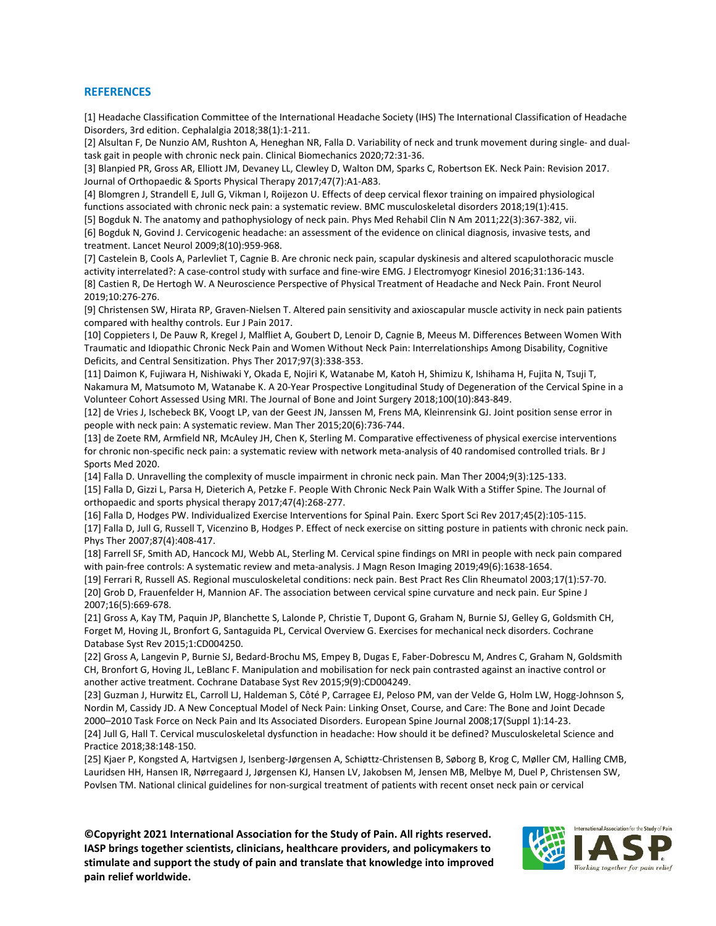#### **REFERENCES**

[1] Headache Classification Committee of the International Headache Society (IHS) The International Classification of Headache Disorders, 3rd edition. Cephalalgia 2018;38(1):1-211.

[2] Alsultan F, De Nunzio AM, Rushton A, Heneghan NR, Falla D. Variability of neck and trunk movement during single- and dualtask gait in people with chronic neck pain. Clinical Biomechanics 2020;72:31-36.

[3] Blanpied PR, Gross AR, Elliott JM, Devaney LL, Clewley D, Walton DM, Sparks C, Robertson EK. Neck Pain: Revision 2017. Journal of Orthopaedic & Sports Physical Therapy 2017;47(7):A1-A83.

[4] Blomgren J, Strandell E, Jull G, Vikman I, Roijezon U. Effects of deep cervical flexor training on impaired physiological functions associated with chronic neck pain: a systematic review. BMC musculoskeletal disorders 2018;19(1):415.

[5] Bogduk N. The anatomy and pathophysiology of neck pain. Phys Med Rehabil Clin N Am 2011;22(3):367-382, vii. [6] Bogduk N, Govind J. Cervicogenic headache: an assessment of the evidence on clinical diagnosis, invasive tests, and treatment. Lancet Neurol 2009;8(10):959-968.

[7] Castelein B, Cools A, Parlevliet T, Cagnie B. Are chronic neck pain, scapular dyskinesis and altered scapulothoracic muscle activity interrelated?: A case-control study with surface and fine-wire EMG. J Electromyogr Kinesiol 2016;31:136-143. [8] Castien R, De Hertogh W. A Neuroscience Perspective of Physical Treatment of Headache and Neck Pain. Front Neurol 2019;10:276-276.

[9] Christensen SW, Hirata RP, Graven-Nielsen T. Altered pain sensitivity and axioscapular muscle activity in neck pain patients compared with healthy controls. Eur J Pain 2017.

[10] Coppieters I, De Pauw R, Kregel J, Malfliet A, Goubert D, Lenoir D, Cagnie B, Meeus M. Differences Between Women With Traumatic and Idiopathic Chronic Neck Pain and Women Without Neck Pain: Interrelationships Among Disability, Cognitive Deficits, and Central Sensitization. Phys Ther 2017;97(3):338-353.

[11] Daimon K, Fujiwara H, Nishiwaki Y, Okada E, Nojiri K, Watanabe M, Katoh H, Shimizu K, Ishihama H, Fujita N, Tsuji T, Nakamura M, Matsumoto M, Watanabe K. A 20-Year Prospective Longitudinal Study of Degeneration of the Cervical Spine in a Volunteer Cohort Assessed Using MRI. The Journal of Bone and Joint Surgery 2018;100(10):843-849.

[12] de Vries J, Ischebeck BK, Voogt LP, van der Geest JN, Janssen M, Frens MA, Kleinrensink GJ. Joint position sense error in people with neck pain: A systematic review. Man Ther 2015;20(6):736-744.

[13] de Zoete RM, Armfield NR, McAuley JH, Chen K, Sterling M. Comparative effectiveness of physical exercise interventions for chronic non-specific neck pain: a systematic review with network meta-analysis of 40 randomised controlled trials. Br J Sports Med 2020.

[14] Falla D. Unravelling the complexity of muscle impairment in chronic neck pain. Man Ther 2004;9(3):125-133. [15] Falla D, Gizzi L, Parsa H, Dieterich A, Petzke F. People With Chronic Neck Pain Walk With a Stiffer Spine. The Journal of orthopaedic and sports physical therapy 2017;47(4):268-277.

[16] Falla D, Hodges PW. Individualized Exercise Interventions for Spinal Pain. Exerc Sport Sci Rev 2017;45(2):105-115. [17] Falla D, Jull G, Russell T, Vicenzino B, Hodges P. Effect of neck exercise on sitting posture in patients with chronic neck pain. Phys Ther 2007;87(4):408-417.

[18] Farrell SF, Smith AD, Hancock MJ, Webb AL, Sterling M. Cervical spine findings on MRI in people with neck pain compared with pain-free controls: A systematic review and meta-analysis. J Magn Reson Imaging 2019;49(6):1638-1654.

[19] Ferrari R, Russell AS. Regional musculoskeletal conditions: neck pain. Best Pract Res Clin Rheumatol 2003;17(1):57-70. [20] Grob D, Frauenfelder H, Mannion AF. The association between cervical spine curvature and neck pain. Eur Spine J 2007;16(5):669-678.

[21] Gross A, Kay TM, Paquin JP, Blanchette S, Lalonde P, Christie T, Dupont G, Graham N, Burnie SJ, Gelley G, Goldsmith CH, Forget M, Hoving JL, Bronfort G, Santaguida PL, Cervical Overview G. Exercises for mechanical neck disorders. Cochrane Database Syst Rev 2015;1:CD004250.

[22] Gross A, Langevin P, Burnie SJ, Bedard-Brochu MS, Empey B, Dugas E, Faber-Dobrescu M, Andres C, Graham N, Goldsmith CH, Bronfort G, Hoving JL, LeBlanc F. Manipulation and mobilisation for neck pain contrasted against an inactive control or another active treatment. Cochrane Database Syst Rev 2015;9(9):CD004249.

[23] Guzman J, Hurwitz EL, Carroll LJ, Haldeman S, Côté P, Carragee EJ, Peloso PM, van der Velde G, Holm LW, Hogg-Johnson S, Nordin M, Cassidy JD. A New Conceptual Model of Neck Pain: Linking Onset, Course, and Care: The Bone and Joint Decade 2000–2010 Task Force on Neck Pain and Its Associated Disorders. European Spine Journal 2008;17(Suppl 1):14-23. [24] Jull G, Hall T. Cervical musculoskeletal dysfunction in headache: How should it be defined? Musculoskeletal Science and Practice 2018;38:148-150.

[25] Kjaer P, Kongsted A, Hartvigsen J, Isenberg-Jørgensen A, Schiøttz-Christensen B, Søborg B, Krog C, Møller CM, Halling CMB, Lauridsen HH, Hansen IR, Nørregaard J, Jørgensen KJ, Hansen LV, Jakobsen M, Jensen MB, Melbye M, Duel P, Christensen SW, Povlsen TM. National clinical guidelines for non-surgical treatment of patients with recent onset neck pain or cervical

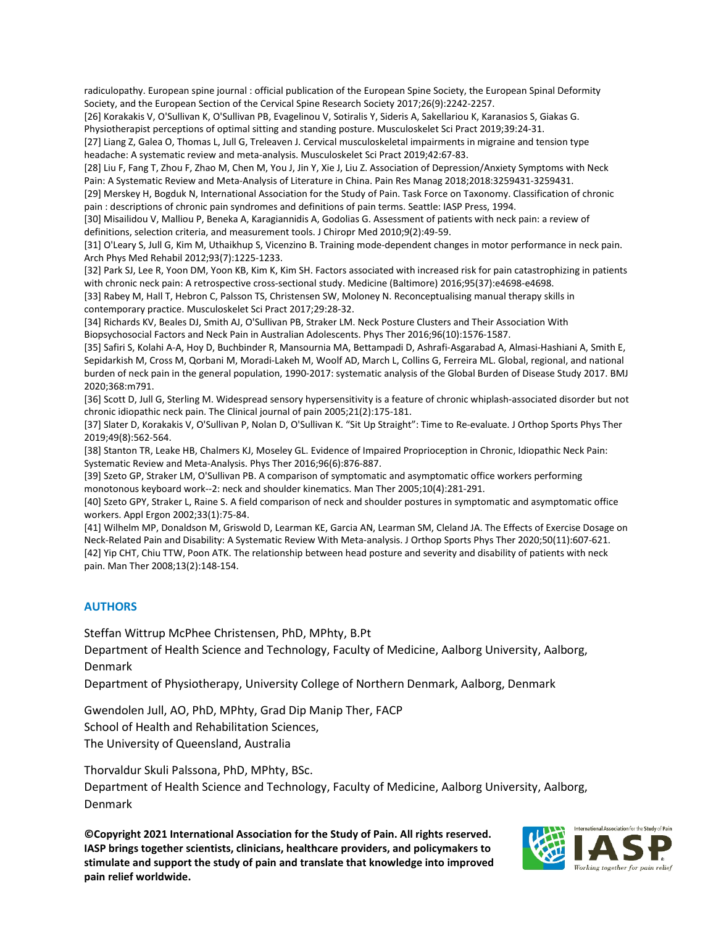radiculopathy. European spine journal : official publication of the European Spine Society, the European Spinal Deformity Society, and the European Section of the Cervical Spine Research Society 2017;26(9):2242-2257.

[26] Korakakis V, O'Sullivan K, O'Sullivan PB, Evagelinou V, Sotiralis Y, Sideris A, Sakellariou K, Karanasios S, Giakas G. Physiotherapist perceptions of optimal sitting and standing posture. Musculoskelet Sci Pract 2019;39:24-31.

[27] Liang Z, Galea O, Thomas L, Jull G, Treleaven J. Cervical musculoskeletal impairments in migraine and tension type headache: A systematic review and meta-analysis. Musculoskelet Sci Pract 2019;42:67-83.

[28] Liu F, Fang T, Zhou F, Zhao M, Chen M, You J, Jin Y, Xie J, Liu Z. Association of Depression/Anxiety Symptoms with Neck Pain: A Systematic Review and Meta-Analysis of Literature in China. Pain Res Manag 2018;2018:3259431-3259431.

[29] Merskey H, Bogduk N, International Association for the Study of Pain. Task Force on Taxonomy. Classification of chronic pain : descriptions of chronic pain syndromes and definitions of pain terms. Seattle: IASP Press, 1994.

[30] Misailidou V, Malliou P, Beneka A, Karagiannidis A, Godolias G. Assessment of patients with neck pain: a review of definitions, selection criteria, and measurement tools. J Chiropr Med 2010;9(2):49-59.

[31] O'Leary S, Jull G, Kim M, Uthaikhup S, Vicenzino B. Training mode-dependent changes in motor performance in neck pain. Arch Phys Med Rehabil 2012;93(7):1225-1233.

[32] Park SJ, Lee R, Yoon DM, Yoon KB, Kim K, Kim SH. Factors associated with increased risk for pain catastrophizing in patients with chronic neck pain: A retrospective cross-sectional study. Medicine (Baltimore) 2016;95(37):e4698-e4698.

[33] Rabey M, Hall T, Hebron C, Palsson TS, Christensen SW, Moloney N. Reconceptualising manual therapy skills in contemporary practice. Musculoskelet Sci Pract 2017;29:28-32.

[34] Richards KV, Beales DJ, Smith AJ, O'Sullivan PB, Straker LM. Neck Posture Clusters and Their Association With Biopsychosocial Factors and Neck Pain in Australian Adolescents. Phys Ther 2016;96(10):1576-1587.

[35] Safiri S, Kolahi A-A, Hoy D, Buchbinder R, Mansournia MA, Bettampadi D, Ashrafi-Asgarabad A, Almasi-Hashiani A, Smith E, Sepidarkish M, Cross M, Qorbani M, Moradi-Lakeh M, Woolf AD, March L, Collins G, Ferreira ML. Global, regional, and national burden of neck pain in the general population, 1990-2017: systematic analysis of the Global Burden of Disease Study 2017. BMJ 2020;368:m791.

[36] Scott D, Jull G, Sterling M. Widespread sensory hypersensitivity is a feature of chronic whiplash-associated disorder but not chronic idiopathic neck pain. The Clinical journal of pain 2005;21(2):175-181.

[37] Slater D, Korakakis V, O'Sullivan P, Nolan D, O'Sullivan K. "Sit Up Straight": Time to Re-evaluate. J Orthop Sports Phys Ther 2019;49(8):562-564.

[38] Stanton TR, Leake HB, Chalmers KJ, Moseley GL. Evidence of Impaired Proprioception in Chronic, Idiopathic Neck Pain: Systematic Review and Meta-Analysis. Phys Ther 2016;96(6):876-887.

[39] Szeto GP, Straker LM, O'Sullivan PB. A comparison of symptomatic and asymptomatic office workers performing monotonous keyboard work--2: neck and shoulder kinematics. Man Ther 2005;10(4):281-291.

[40] Szeto GPY, Straker L, Raine S. A field comparison of neck and shoulder postures in symptomatic and asymptomatic office workers. Appl Ergon 2002;33(1):75-84.

[41] Wilhelm MP, Donaldson M, Griswold D, Learman KE, Garcia AN, Learman SM, Cleland JA. The Effects of Exercise Dosage on Neck-Related Pain and Disability: A Systematic Review With Meta-analysis. J Orthop Sports Phys Ther 2020;50(11):607-621. [42] Yip CHT, Chiu TTW, Poon ATK. The relationship between head posture and severity and disability of patients with neck pain. Man Ther 2008;13(2):148-154.

#### **AUTHORS**

Steffan Wittrup McPhee Christensen, PhD, MPhty, B.Pt

Department of Health Science and Technology, Faculty of Medicine, Aalborg University, Aalborg, Denmark

Department of Physiotherapy, University College of Northern Denmark, Aalborg, Denmark

Gwendolen Jull, AO, PhD, MPhty, Grad Dip Manip Ther, FACP School of Health and Rehabilitation Sciences, The University of Queensland, Australia

Thorvaldur Skuli Palssona, PhD, MPhty, BSc.

Department of Health Science and Technology, Faculty of Medicine, Aalborg University, Aalborg, Denmark